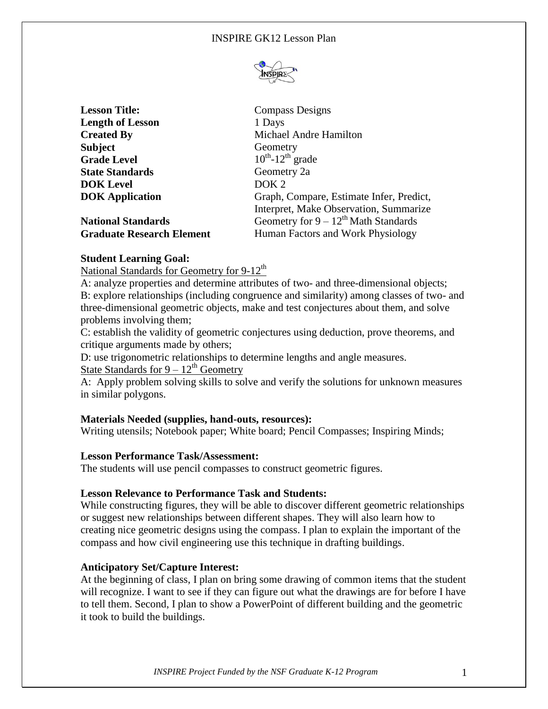

| <b>Lesson Title:</b>             | <b>Compass Designs</b>                    |
|----------------------------------|-------------------------------------------|
| <b>Length of Lesson</b>          | 1 Days                                    |
| <b>Created By</b>                | Michael Andre Hamilton                    |
| <b>Subject</b>                   | Geometry                                  |
| <b>Grade Level</b>               | $10^{th}$ -12 <sup>th</sup> grade         |
| <b>State Standards</b>           | Geometry 2a                               |
| <b>DOK Level</b>                 | DOK <sub>2</sub>                          |
| <b>DOK</b> Application           | Graph, Compare, Estimate Infer, Predict,  |
|                                  | Interpret, Make Observation, Summarize    |
| <b>National Standards</b>        | Geometry for $9 - 12^{th}$ Math Standards |
| <b>Graduate Research Element</b> | Human Factors and Work Physiology         |

#### **Student Learning Goal:**

National Standards for Geometry for  $9-12<sup>th</sup>$ 

A: analyze properties and determine attributes of two- and three-dimensional objects; B: explore relationships (including congruence and similarity) among classes of two- and three-dimensional geometric objects, make and test conjectures about them, and solve problems involving them;

C: establish the validity of geometric conjectures using deduction, prove theorems, and critique arguments made by others;

D: use trigonometric relationships to determine lengths and angle measures.

State Standards for  $9 - 12^{th}$  Geometry

A: Apply problem solving skills to solve and verify the solutions for unknown measures in similar polygons.

#### **Materials Needed (supplies, hand-outs, resources):**

Writing utensils; Notebook paper; White board; Pencil Compasses; Inspiring Minds;

#### **Lesson Performance Task/Assessment:**

The students will use pencil compasses to construct geometric figures.

#### **Lesson Relevance to Performance Task and Students:**

While constructing figures, they will be able to discover different geometric relationships or suggest new relationships between different shapes. They will also learn how to creating nice geometric designs using the compass. I plan to explain the important of the compass and how civil engineering use this technique in drafting buildings.

#### **Anticipatory Set/Capture Interest:**

At the beginning of class, I plan on bring some drawing of common items that the student will recognize. I want to see if they can figure out what the drawings are for before I have to tell them. Second, I plan to show a PowerPoint of different building and the geometric it took to build the buildings.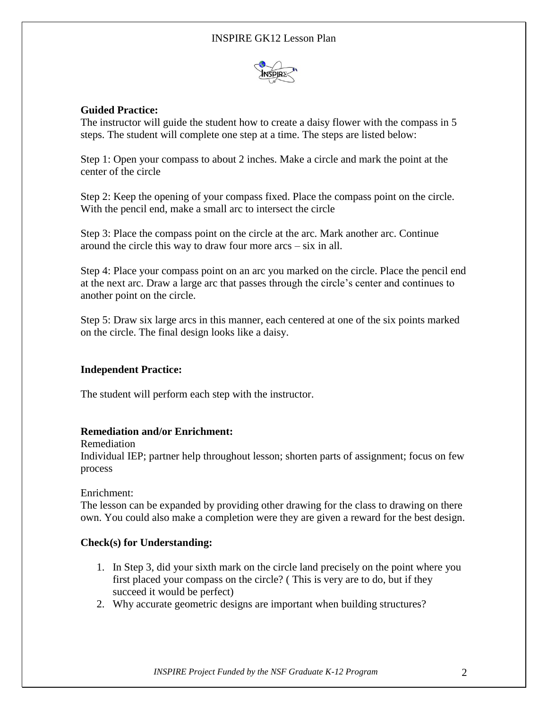

### **Guided Practice:**

The instructor will guide the student how to create a daisy flower with the compass in 5 steps. The student will complete one step at a time. The steps are listed below:

Step 1: Open your compass to about 2 inches. Make a circle and mark the point at the center of the circle

Step 2: Keep the opening of your compass fixed. Place the compass point on the circle. With the pencil end, make a small arc to intersect the circle

Step 3: Place the compass point on the circle at the arc. Mark another arc. Continue around the circle this way to draw four more arcs – six in all.

Step 4: Place your compass point on an arc you marked on the circle. Place the pencil end at the next arc. Draw a large arc that passes through the circle's center and continues to another point on the circle.

Step 5: Draw six large arcs in this manner, each centered at one of the six points marked on the circle. The final design looks like a daisy.

#### **Independent Practice:**

The student will perform each step with the instructor.

#### **Remediation and/or Enrichment:**

Remediation

Individual IEP; partner help throughout lesson; shorten parts of assignment; focus on few process

Enrichment:

The lesson can be expanded by providing other drawing for the class to drawing on there own. You could also make a completion were they are given a reward for the best design.

#### **Check(s) for Understanding:**

- 1. In Step 3, did your sixth mark on the circle land precisely on the point where you first placed your compass on the circle? ( This is very are to do, but if they succeed it would be perfect)
- 2. Why accurate geometric designs are important when building structures?